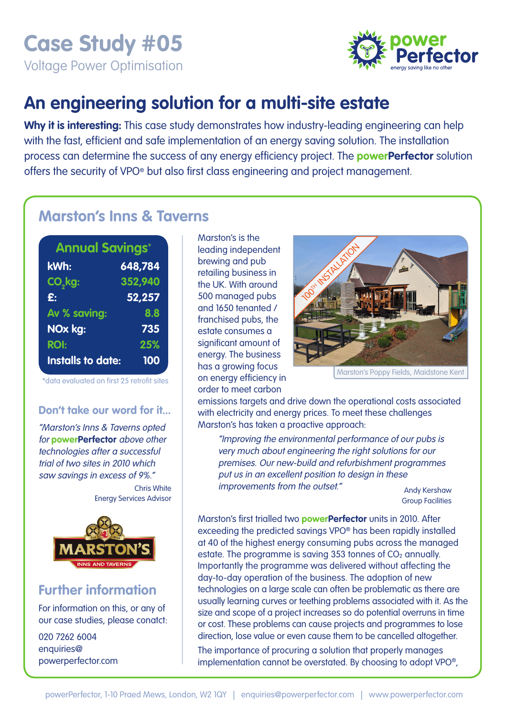# **Case Study #05**

Voltage Power Optimisation



## **An engineering solution for a multi-site estate**

**Why it is interesting:** This case study demonstrates how industry-leading engineering can help with the fast, efficient and safe implementation of an energy saving solution. The installation process can determine the success of any energy efficiency project. The **powerPerfector** solution offers the security of VPO® but also first class engineering and project management.

### **Marston's Inns & Taverns**

| <b>Annual Savings*</b>   |         |
|--------------------------|---------|
| kWh:                     | 648,784 |
| CO <sub>2</sub> kg:      | 352,940 |
| £.                       | 52,257  |
| Av % saving:             | 8.8     |
| NOx kg:                  | 735     |
| <b>ROI:</b>              | 25%     |
| <b>Installs to date:</b> | 100     |

\*data evaluated on first 25 retrofit sites

#### **Don't take our word for it...**

"Marston's Inns & Taverns opted for **powerPerfector** above other technologies after a successful trial of two sites in 2010 which saw savings in excess of 9%." Chris White

Energy Services Advisor



## **Further information**

For information on this, or any of our case studies, please conatct:

020 7262 6004 enquiries@ powerperfector.com Marston's is the leading independent brewing and pub retailing business in the UK. With around 500 managed pubs and 1650 tenanted / franchised pubs, the estate consumes a significant amount of energy. The business has a growing focus on energy efficiency in order to meet carbon



Marston's Poppy Fields, Maidstone Kent

emissions targets and drive down the operational costs associated with electricity and energy prices. To meet these challenges Marston's has taken a proactive approach:

 "Improving the environmental performance of our pubs is very much about engineering the right solutions for our premises. Our new-build and refurbishment programmes put us in an excellent position to design in these improvements from the outset." Andy Kershaw

Group Facilities

Marston's first trialled two **powerPerfector** units in 2010. After exceeding the predicted savings VPO® has been rapidly installed at 40 of the highest energy consuming pubs across the managed estate. The programme is saving 353 tonnes of  $CO<sub>2</sub>$  annually. Importantly the programme was delivered without affecting the day-to-day operation of the business. The adoption of new technologies on a large scale can often be problematic as there are usually learning curves or teething problems associated with it. As the size and scope of a project increases so do potential overruns in time or cost. These problems can cause projects and programmes to lose direction, lose value or even cause them to be cancelled altogether.

The importance of procuring a solution that properly manages implementation cannot be overstated. By choosing to adopt VPO®,